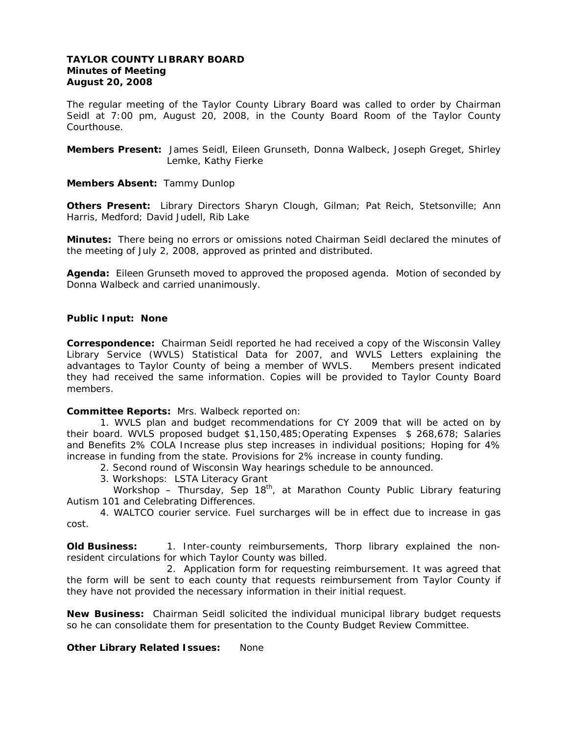### **TAYLOR COUNTY LIBRARY BOARD Minutes of Meeting August 20, 2008**

The regular meeting of the Taylor County Library Board was called to order by Chairman Seidl at 7:00 pm, August 20, 2008, in the County Board Room of the Taylor County Courthouse.

**Members Present:** James Seidl, Eileen Grunseth, Donna Walbeck, Joseph Greget, Shirley Lemke, Kathy Fierke

**Members Absent:** Tammy Dunlop

**Others Present:** Library Directors Sharyn Clough, Gilman; Pat Reich, Stetsonville; Ann Harris, Medford; David Judell, Rib Lake

**Minutes:** There being no errors or omissions noted Chairman Seidl declared the minutes of the meeting of July 2, 2008, approved as printed and distributed.

**Agenda:** Eileen Grunseth moved to approved the proposed agenda. Motion of seconded by Donna Walbeck and carried unanimously.

## *Public Input: None*

**Correspondence:** Chairman Seidl reported he had received a copy of the Wisconsin Valley Library Service (WVLS) Statistical Data for 2007, and WVLS Letters explaining the advantages to Taylor County of being a member of WVLS. Members present indicated they had received the same information. Copies will be provided to Taylor County Board members.

**Committee Reports:** Mrs. Walbeck reported on:

1. WVLS plan and budget recommendations for CY 2009 that will be acted on by their board. WVLS proposed budget \$1,150,485;Operating Expenses \$ 268,678; Salaries and Benefits 2% COLA Increase plus step increases in individual positions; Hoping for 4% increase in funding from the state. Provisions for 2% increase in county funding.

2. Second round of Wisconsin Way hearings schedule to be announced.

3. Workshops: LSTA Literacy Grant

Workshop – Thursday, Sep  $18<sup>th</sup>$ , at Marathon County Public Library featuring Autism 101 and Celebrating Differences.

4. WALTCO courier service. Fuel surcharges will be in effect due to increase in gas cost.

**Old Business:** 1. Inter-county reimbursements, Thorp library explained the nonresident circulations for which Taylor County was billed.

 2. Application form for requesting reimbursement. It was agreed that the form will be sent to each county that requests reimbursement from Taylor County if they have not provided the necessary information in their initial request.

**New Business:** Chairman Seidl solicited the individual municipal library budget requests so he can consolidate them for presentation to the County Budget Review Committee.

## **Other Library Related Issues:** None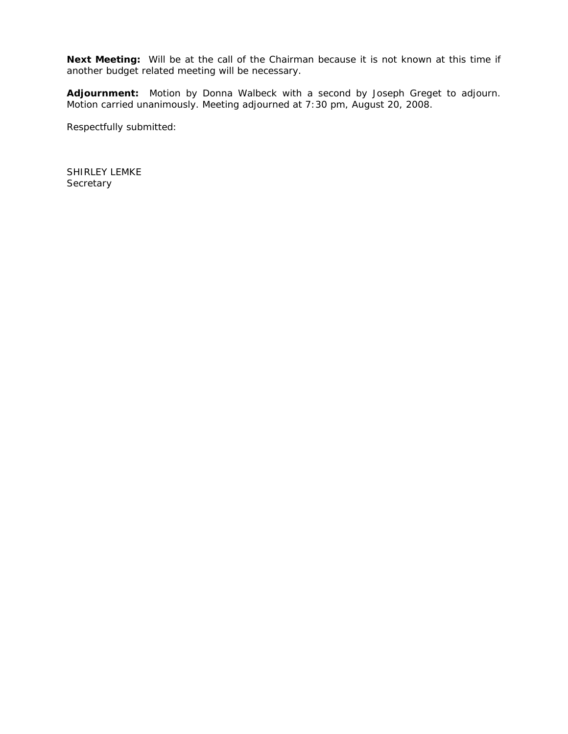**Next Meeting:** Will be at the call of the Chairman because it is not known at this time if another budget related meeting will be necessary.

**Adjournment:** Motion by Donna Walbeck with a second by Joseph Greget to adjourn. Motion carried unanimously. Meeting adjourned at 7:30 pm, August 20, 2008.

Respectfully submitted:

SHIRLEY LEMKE **Secretary**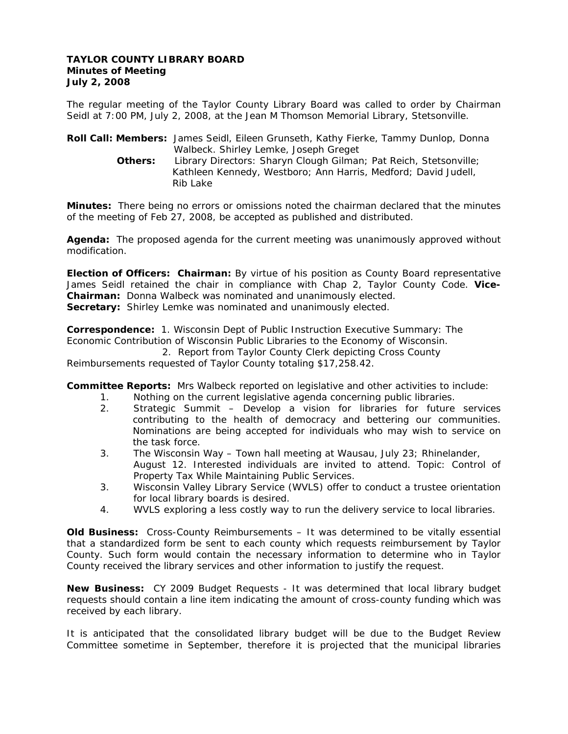### **TAYLOR COUNTY LIBRARY BOARD Minutes of Meeting July 2, 2008**

The regular meeting of the Taylor County Library Board was called to order by Chairman Seidl at 7:00 PM, July 2, 2008, at the Jean M Thomson Memorial Library, Stetsonville.

**Roll Call: Members:** James Seidl, Eileen Grunseth, Kathy Fierke, Tammy Dunlop, Donna Walbeck. Shirley Lemke, Joseph Greget **Others:** Library Directors: Sharyn Clough Gilman; Pat Reich, Stetsonville; Kathleen Kennedy, Westboro; Ann Harris, Medford; David Judell, Rib Lake

**Minutes:** There being no errors or omissions noted the chairman declared that the minutes of the meeting of Feb 27, 2008, be accepted as published and distributed.

**Agenda:** The proposed agenda for the current meeting was unanimously approved without modification.

**Election of Officers: Chairman:** By virtue of his position as County Board representative James Seidl retained the chair in compliance with Chap 2, Taylor County Code. **Vice-Chairman:** Donna Walbeck was nominated and unanimously elected. **Secretary:** Shirley Lemke was nominated and unanimously elected.

**Correspondence:** 1. Wisconsin Dept of Public Instruction Executive Summary: The Economic Contribution of Wisconsin Public Libraries to the Economy of Wisconsin.

2. Report from Taylor County Clerk depicting Cross County

Reimbursements requested of Taylor County totaling \$17,258.42.

**Committee Reports:** Mrs Walbeck reported on legislative and other activities to include:

- 1. Nothing on the current legislative agenda concerning public libraries.
- 2. Strategic Summit Develop a vision for libraries for future services contributing to the health of democracy and bettering our communities. Nominations are being accepted for individuals who may wish to service on the task force.
- 3. The Wisconsin Way Town hall meeting at Wausau, July 23; Rhinelander, August 12. Interested individuals are invited to attend. Topic: Control of Property Tax While Maintaining Public Services.
- 3. Wisconsin Valley Library Service (WVLS) offer to conduct a trustee orientation for local library boards is desired.
- 4. WVLS exploring a less costly way to run the delivery service to local libraries.

**Old Business:** Cross-County Reimbursements – It was determined to be vitally essential that a standardized form be sent to each county which requests reimbursement by Taylor County. Such form would contain the necessary information to determine who in Taylor County received the library services and other information to justify the request.

**New Business:** CY 2009 Budget Requests - It was determined that local library budget requests should contain a line item indicating the amount of cross-county funding which was received by each library.

It is anticipated that the consolidated library budget will be due to the Budget Review Committee sometime in September, therefore it is projected that the municipal libraries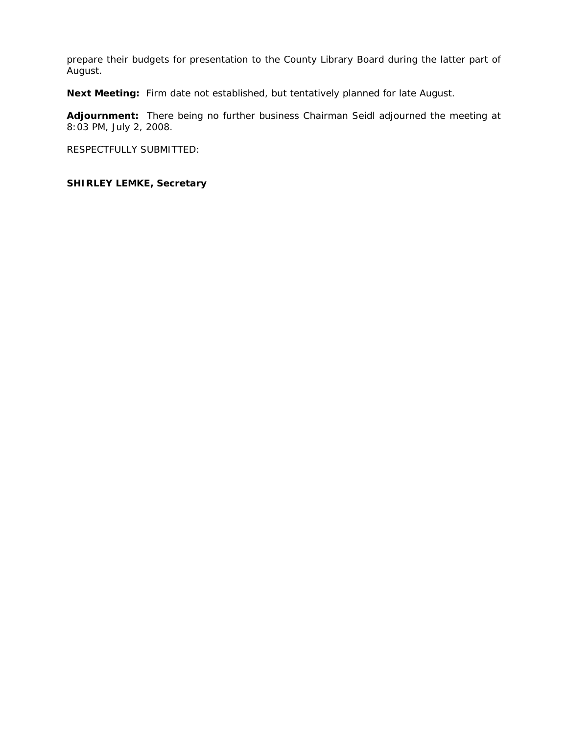prepare their budgets for presentation to the County Library Board during the latter part of August.

**Next Meeting:** Firm date not established, but tentatively planned for late August.

**Adjournment:** There being no further business Chairman Seidl adjourned the meeting at 8:03 PM, July 2, 2008.

RESPECTFULLY SUBMITTED:

# **SHIRLEY LEMKE, Secretary**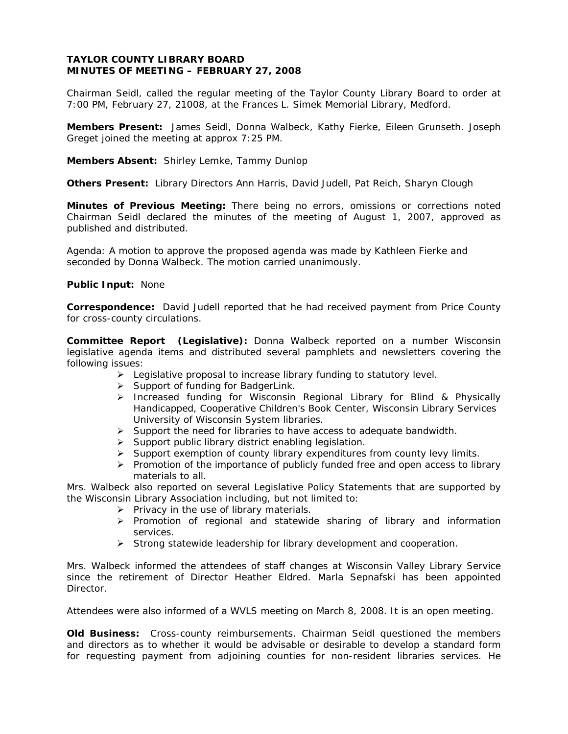### **TAYLOR COUNTY LIBRARY BOARD MINUTES OF MEETING – FEBRUARY 27, 2008**

Chairman Seidl, called the regular meeting of the Taylor County Library Board to order at 7:00 PM, February 27, 21008, at the Frances L. Simek Memorial Library, Medford.

**Members Present:** James Seidl, Donna Walbeck, Kathy Fierke, Eileen Grunseth. Joseph Greget joined the meeting at approx 7:25 PM.

**Members Absent:** Shirley Lemke, Tammy Dunlop

**Others Present:** Library Directors Ann Harris, David Judell, Pat Reich, Sharyn Clough

**Minutes of Previous Meeting:** There being no errors, omissions or corrections noted Chairman Seidl declared the minutes of the meeting of August 1, 2007, approved as published and distributed.

Agenda: A motion to approve the proposed agenda was made by Kathleen Fierke and seconded by Donna Walbeck. The motion carried unanimously.

#### **Public Input:** None

**Correspondence:** David Judell reported that he had received payment from Price County for cross-county circulations.

**Committee Report (Legislative):** Donna Walbeck reported on a number Wisconsin legislative agenda items and distributed several pamphlets and newsletters covering the following issues:

- $\triangleright$  Legislative proposal to increase library funding to statutory level.
- ¾ Support of funding for BadgerLink.
- ¾ Increased funding for Wisconsin Regional Library for Blind & Physically Handicapped, Cooperative Children's Book Center, Wisconsin Library Services University of Wisconsin System libraries.
- $\triangleright$  Support the need for libraries to have access to adequate bandwidth.
- $\triangleright$  Support public library district enabling legislation.
- ¾ Support exemption of county library expenditures from county levy limits.
- $\triangleright$  Promotion of the importance of publicly funded free and open access to library materials to all.

Mrs. Walbeck also reported on several Legislative Policy Statements that are supported by the Wisconsin Library Association including, but not limited to:

- $\triangleright$  Privacy in the use of library materials.
- $\triangleright$  Promotion of regional and statewide sharing of library and information services.
- $\triangleright$  Strong statewide leadership for library development and cooperation.

Mrs. Walbeck informed the attendees of staff changes at Wisconsin Valley Library Service since the retirement of Director Heather Eldred. Marla Sepnafski has been appointed Director.

Attendees were also informed of a WVLS meeting on March 8, 2008. It is an open meeting.

**Old Business:** Cross-county reimbursements. Chairman Seidl questioned the members and directors as to whether it would be advisable or desirable to develop a standard form for requesting payment from adjoining counties for non-resident libraries services. He